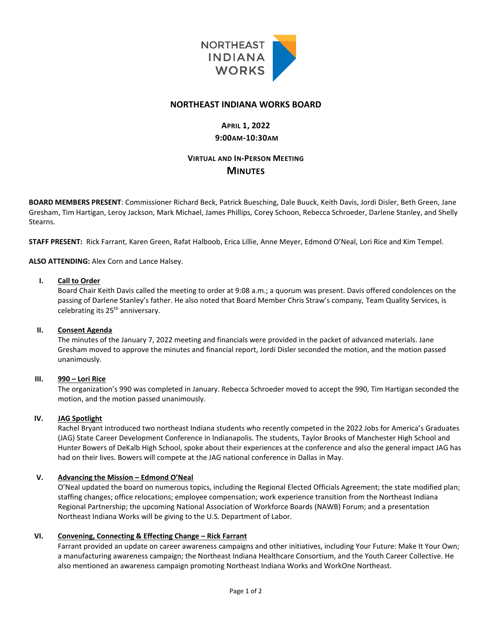

### **NORTHEAST INDIANA WORKS BOARD**

# **APRIL 1, 2022 9:00AM-10:30AM**

# **VIRTUAL AND IN-PERSON MEETING MINUTES**

**BOARD MEMBERS PRESENT**: Commissioner Richard Beck, Patrick Buesching, Dale Buuck, Keith Davis, Jordi Disler, Beth Green, Jane Gresham, Tim Hartigan, Leroy Jackson, Mark Michael, James Phillips, Corey Schoon, Rebecca Schroeder, Darlene Stanley, and Shelly **Stearns** 

**STAFF PRESENT:** Rick Farrant, Karen Green, Rafat Halboob, Erica Lillie, Anne Meyer, Edmond O'Neal, Lori Rice and Kim Tempel.

**ALSO ATTENDING:** Alex Corn and Lance Halsey.

### **I. Call to Order**

Board Chair Keith Davis called the meeting to order at 9:08 a.m.; a quorum was present. Davis offered condolences on the passing of Darlene Stanley's father. He also noted that Board Member Chris Straw's company, Team Quality Services, is celebrating its 25<sup>th</sup> anniversary.

#### **II. Consent Agenda**

The minutes of the January 7, 2022 meeting and financials were provided in the packet of advanced materials. Jane Gresham moved to approve the minutes and financial report, Jordi Disler seconded the motion, and the motion passed unanimously.

#### **III. 990 – Lori Rice**

The organization's 990 was completed in January. Rebecca Schroeder moved to accept the 990, Tim Hartigan seconded the motion, and the motion passed unanimously.

#### **IV. JAG Spotlight**

Rachel Bryant introduced two northeast Indiana students who recently competed in the 2022 Jobs for America's Graduates (JAG) State Career Development Conference in Indianapolis. The students, Taylor Brooks of Manchester High School and Hunter Bowers of DeKalb High School, spoke about their experiences at the conference and also the general impact JAG has had on their lives. Bowers will compete at the JAG national conference in Dallas in May.

### **V. Advancing the Mission – Edmond O'Neal**

O'Neal updated the board on numerous topics, including the Regional Elected Officials Agreement; the state modified plan; staffing changes; office relocations; employee compensation; work experience transition from the Northeast Indiana Regional Partnership; the upcoming National Association of Workforce Boards (NAWB) Forum; and a presentation Northeast Indiana Works will be giving to the U.S. Department of Labor.

### **VI. Convening, Connecting & Effecting Change – Rick Farrant**

Farrant provided an update on career awareness campaigns and other initiatives, including Your Future: Make It Your Own; a manufacturing awareness campaign; the Northeast Indiana Healthcare Consortium, and the Youth Career Collective. He also mentioned an awareness campaign promoting Northeast Indiana Works and WorkOne Northeast.